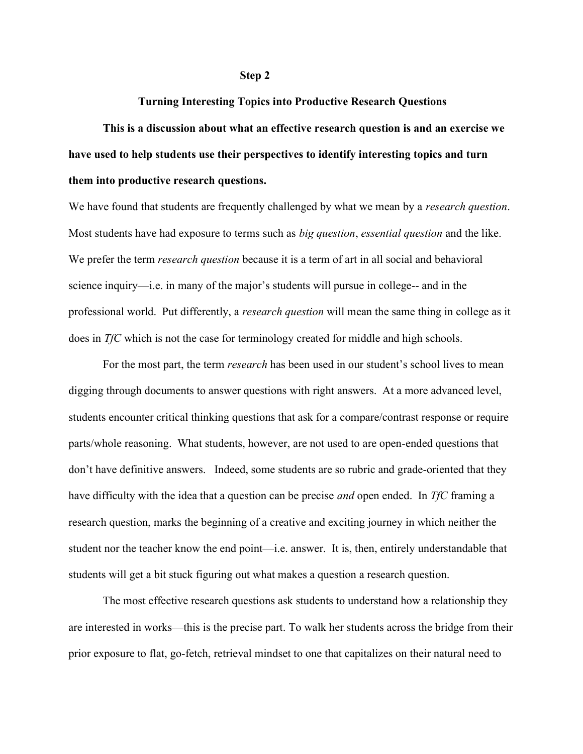### Turning Interesting Topics into Productive Research Questions

This is a discussion about what an effective research question is and an exercise we have used to help students use their perspectives to identify interesting topics and turn them into productive research questions.

We have found that students are frequently challenged by what we mean by a *research question*. Most students have had exposure to terms such as *big question, essential question* and the like. We prefer the term *research question* because it is a term of art in all social and behavioral science inquiry—i.e. in many of the major's students will pursue in college-- and in the professional world. Put differently, a *research question* will mean the same thing in college as it does in TfC which is not the case for terminology created for middle and high schools.

For the most part, the term *research* has been used in our student's school lives to mean digging through documents to answer questions with right answers. At a more advanced level, students encounter critical thinking questions that ask for a compare/contrast response or require parts/whole reasoning. What students, however, are not used to are open-ended questions that don't have definitive answers. Indeed, some students are so rubric and grade-oriented that they have difficulty with the idea that a question can be precise *and* open ended. In TfC framing a research question, marks the beginning of a creative and exciting journey in which neither the student nor the teacher know the end point—i.e. answer. It is, then, entirely understandable that students will get a bit stuck figuring out what makes a question a research question.

The most effective research questions ask students to understand how a relationship they are interested in works—this is the precise part. To walk her students across the bridge from their prior exposure to flat, go-fetch, retrieval mindset to one that capitalizes on their natural need to

#### Step 2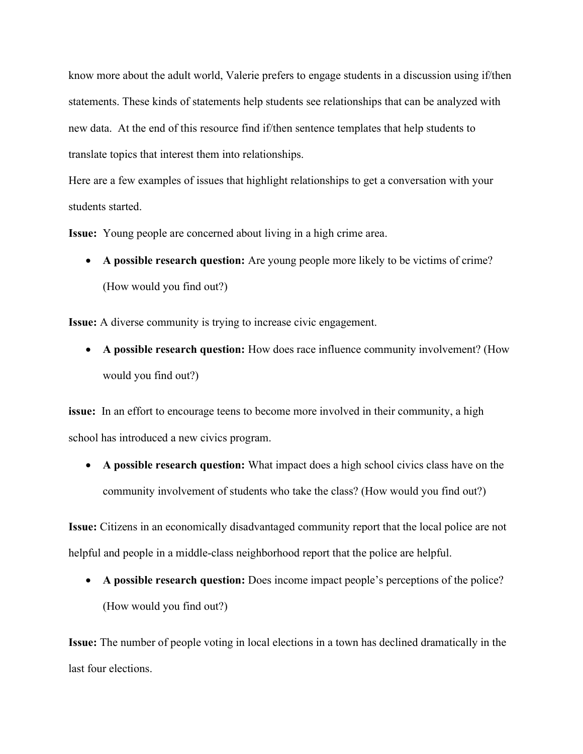know more about the adult world, Valerie prefers to engage students in a discussion using if/then statements. These kinds of statements help students see relationships that can be analyzed with new data. At the end of this resource find if/then sentence templates that help students to translate topics that interest them into relationships.

Here are a few examples of issues that highlight relationships to get a conversation with your students started.

Issue: Young people are concerned about living in a high crime area.

 A possible research question: Are young people more likely to be victims of crime? (How would you find out?)

Issue: A diverse community is trying to increase civic engagement.

 A possible research question: How does race influence community involvement? (How would you find out?)

issue: In an effort to encourage teens to become more involved in their community, a high school has introduced a new civics program.

 A possible research question: What impact does a high school civics class have on the community involvement of students who take the class? (How would you find out?)

Issue: Citizens in an economically disadvantaged community report that the local police are not helpful and people in a middle-class neighborhood report that the police are helpful.

 A possible research question: Does income impact people's perceptions of the police? (How would you find out?)

Issue: The number of people voting in local elections in a town has declined dramatically in the last four elections.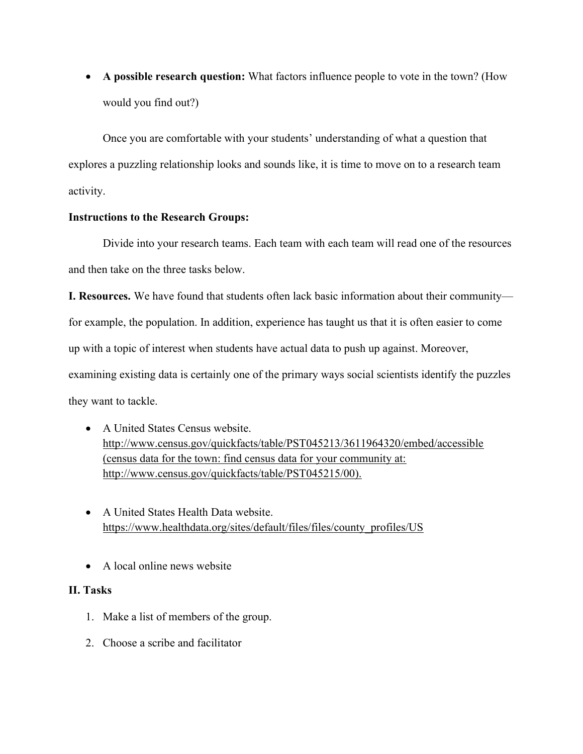A possible research question: What factors influence people to vote in the town? (How would you find out?)

Once you are comfortable with your students' understanding of what a question that explores a puzzling relationship looks and sounds like, it is time to move on to a research team activity.

## Instructions to the Research Groups:

Divide into your research teams. Each team with each team will read one of the resources and then take on the three tasks below.

I. Resources. We have found that students often lack basic information about their community for example, the population. In addition, experience has taught us that it is often easier to come up with a topic of interest when students have actual data to push up against. Moreover, examining existing data is certainly one of the primary ways social scientists identify the puzzles they want to tackle.

- A United States Census website. http://www.census.gov/quickfacts/table/PST045213/3611964320/embed/accessible (census data for the town: find census data for your community at: http://www.census.gov/quickfacts/table/PST045215/00).
- A United States Health Data website. https://www.healthdata.org/sites/default/files/files/county\_profiles/US
- A local online news website

# II. Tasks

- 1. Make a list of members of the group.
- 2. Choose a scribe and facilitator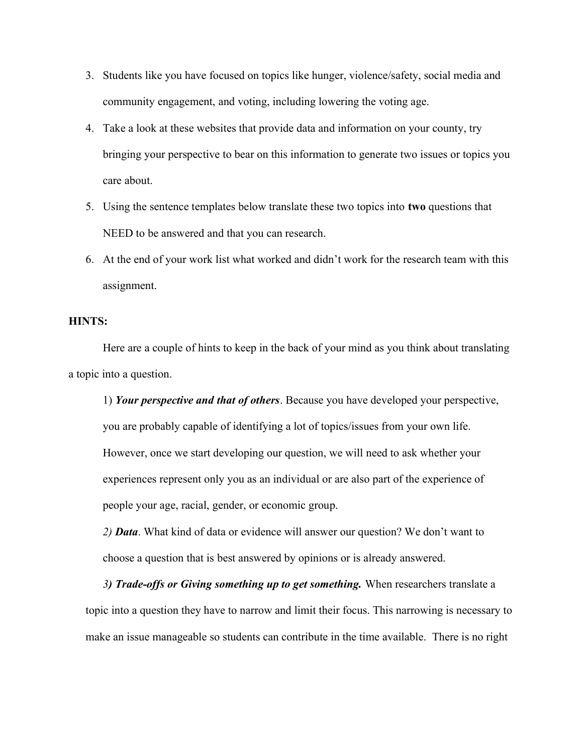- 3. Students like you have focused on topics like hunger, violence/safety, social media and community engagement, and voting, including lowering the voting age.
- 4. Take a look at these websites that provide data and information on your county, try bringing your perspective to bear on this information to generate two issues or topics you care about.
- 5. Using the sentence templates below translate these two topics into two questions that NEED to be answered and that you can research.
- 6. At the end of your work list what worked and didn't work for the research team with this assignment.

## HINTS:

Here are a couple of hints to keep in the back of your mind as you think about translating a topic into a question.

1) Your perspective and that of others. Because you have developed your perspective, you are probably capable of identifying a lot of topics/issues from your own life. However, once we start developing our question, we will need to ask whether your experiences represent only you as an individual or are also part of the experience of people your age, racial, gender, or economic group.

2) **Data**. What kind of data or evidence will answer our question? We don't want to choose a question that is best answered by opinions or is already answered.

3) Trade-offs or Giving something up to get something. When researchers translate a topic into a question they have to narrow and limit their focus. This narrowing is necessary to make an issue manageable so students can contribute in the time available. There is no right